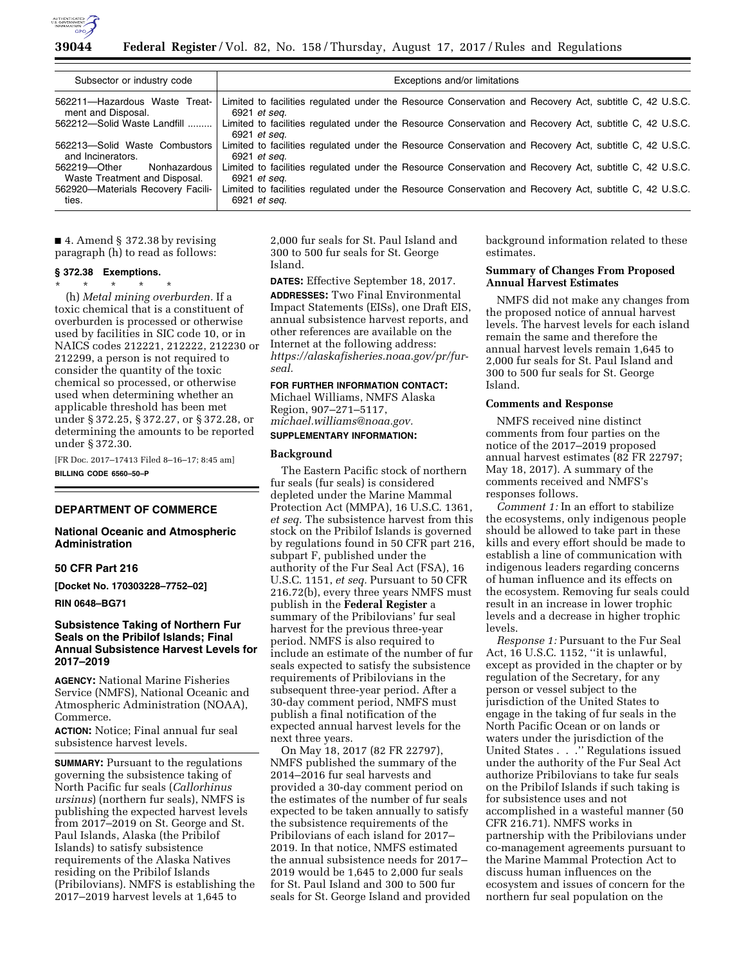

### **39044 Federal Register** / Vol. 82, No. 158 / Thursday, August 17, 2017 / Rules and Regulations

| Subsector or industry code                                    | Exceptions and/or limitations                                                                                           |
|---------------------------------------------------------------|-------------------------------------------------------------------------------------------------------------------------|
| 562211-Hazardous Waste Treat-                                 | Limited to facilities regulated under the Resource Conservation and Recovery Act, subtitle C, 42 U.S.C.                 |
| ment and Disposal.                                            | 6921 et seg.                                                                                                            |
| 562212-Solid Waste Landfill                                   | Limited to facilities regulated under the Resource Conservation and Recovery Act, subtitle C, 42 U.S.C.<br>6921 et seg. |
| 562213-Solid Waste Combustors                                 | Limited to facilities regulated under the Resource Conservation and Recovery Act, subtitle C, 42 U.S.C.                 |
| and Incinerators.                                             | 6921 et seg.                                                                                                            |
| Nonhazardous<br>562219-Other<br>Waste Treatment and Disposal. | Limited to facilities regulated under the Resource Conservation and Recovery Act, subtitle C, 42 U.S.C.<br>6921 et seg. |
| 562920-Materials Recovery Facili-                             | Limited to facilities regulated under the Resource Conservation and Recovery Act, subtitle C, 42 U.S.C.                 |
| ties.                                                         | 6921 et seg.                                                                                                            |

■ 4. Amend § 372.38 by revising paragraph (h) to read as follows:

### **§ 372.38 Exemptions.**

\* \* \* \* \* (h) *Metal mining overburden.* If a toxic chemical that is a constituent of overburden is processed or otherwise used by facilities in SIC code 10, or in NAICS codes 212221, 212222, 212230 or 212299, a person is not required to consider the quantity of the toxic chemical so processed, or otherwise used when determining whether an applicable threshold has been met under § 372.25, § 372.27, or § 372.28, or determining the amounts to be reported under § 372.30.

[FR Doc. 2017–17413 Filed 8–16–17; 8:45 am] **BILLING CODE 6560–50–P** 

# **DEPARTMENT OF COMMERCE**

### **National Oceanic and Atmospheric Administration**

### **50 CFR Part 216**

**[Docket No. 170303228–7752–02]** 

### **RIN 0648–BG71**

# **Subsistence Taking of Northern Fur Seals on the Pribilof Islands; Final Annual Subsistence Harvest Levels for 2017–2019**

**AGENCY:** National Marine Fisheries Service (NMFS), National Oceanic and Atmospheric Administration (NOAA), Commerce.

**ACTION:** Notice; Final annual fur seal subsistence harvest levels.

**SUMMARY:** Pursuant to the regulations governing the subsistence taking of North Pacific fur seals (*Callorhinus ursinus*) (northern fur seals), NMFS is publishing the expected harvest levels from 2017–2019 on St. George and St. Paul Islands, Alaska (the Pribilof Islands) to satisfy subsistence requirements of the Alaska Natives residing on the Pribilof Islands (Pribilovians). NMFS is establishing the 2017–2019 harvest levels at 1,645 to

2,000 fur seals for St. Paul Island and 300 to 500 fur seals for St. George Island.

**DATES:** Effective September 18, 2017. **ADDRESSES:** Two Final Environmental Impact Statements (EISs), one Draft EIS, annual subsistence harvest reports, and other references are available on the Internet at the following address: *[https://alaskafisheries.noaa.gov/pr/fur](https://alaskafisheries.noaa.gov/pr/fur-seal)[seal.](https://alaskafisheries.noaa.gov/pr/fur-seal)* 

### **FOR FURTHER INFORMATION CONTACT:**

Michael Williams, NMFS Alaska Region, 907–271–5117, *[michael.williams@noaa.gov.](mailto:michael.williams@noaa.gov)* 

# **SUPPLEMENTARY INFORMATION:**

#### **Background**

The Eastern Pacific stock of northern fur seals (fur seals) is considered depleted under the Marine Mammal Protection Act (MMPA), 16 U.S.C. 1361, *et seq.* The subsistence harvest from this stock on the Pribilof Islands is governed by regulations found in 50 CFR part 216, subpart F, published under the authority of the Fur Seal Act (FSA), 16 U.S.C. 1151, *et seq.* Pursuant to 50 CFR 216.72(b), every three years NMFS must publish in the **Federal Register** a summary of the Pribilovians' fur seal harvest for the previous three-year period. NMFS is also required to include an estimate of the number of fur seals expected to satisfy the subsistence requirements of Pribilovians in the subsequent three-year period. After a 30-day comment period, NMFS must publish a final notification of the expected annual harvest levels for the next three years.

On May 18, 2017 (82 FR 22797), NMFS published the summary of the 2014–2016 fur seal harvests and provided a 30-day comment period on the estimates of the number of fur seals expected to be taken annually to satisfy the subsistence requirements of the Pribilovians of each island for 2017– 2019. In that notice, NMFS estimated the annual subsistence needs for 2017– 2019 would be 1,645 to 2,000 fur seals for St. Paul Island and 300 to 500 fur seals for St. George Island and provided background information related to these estimates.

# **Summary of Changes From Proposed Annual Harvest Estimates**

NMFS did not make any changes from the proposed notice of annual harvest levels. The harvest levels for each island remain the same and therefore the annual harvest levels remain 1,645 to 2,000 fur seals for St. Paul Island and 300 to 500 fur seals for St. George Island.

#### **Comments and Response**

NMFS received nine distinct comments from four parties on the notice of the 2017–2019 proposed annual harvest estimates (82 FR 22797; May 18, 2017). A summary of the comments received and NMFS's responses follows.

*Comment 1:* In an effort to stabilize the ecosystems, only indigenous people should be allowed to take part in these kills and every effort should be made to establish a line of communication with indigenous leaders regarding concerns of human influence and its effects on the ecosystem. Removing fur seals could result in an increase in lower trophic levels and a decrease in higher trophic levels.

*Response 1:* Pursuant to the Fur Seal Act, 16 U.S.C. 1152, ''it is unlawful, except as provided in the chapter or by regulation of the Secretary, for any person or vessel subject to the jurisdiction of the United States to engage in the taking of fur seals in the North Pacific Ocean or on lands or waters under the jurisdiction of the United States . . . " Regulations issued under the authority of the Fur Seal Act authorize Pribilovians to take fur seals on the Pribilof Islands if such taking is for subsistence uses and not accomplished in a wasteful manner (50 CFR 216.71). NMFS works in partnership with the Pribilovians under co-management agreements pursuant to the Marine Mammal Protection Act to discuss human influences on the ecosystem and issues of concern for the northern fur seal population on the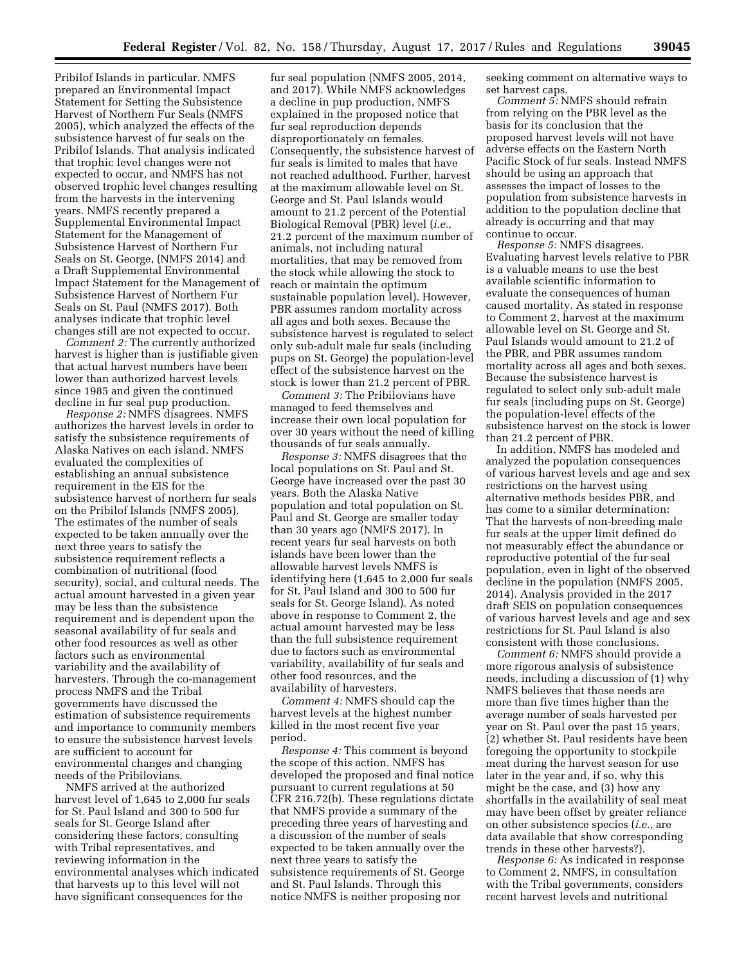Pribilof Islands in particular. NMFS prepared an Environmental Impact Statement for Setting the Subsistence Harvest of Northern Fur Seals (NMFS 2005), which analyzed the effects of the subsistence harvest of fur seals on the Pribilof Islands. That analysis indicated that trophic level changes were not expected to occur, and NMFS has not observed trophic level changes resulting from the harvests in the intervening years. NMFS recently prepared a Supplemental Environmental Impact Statement for the Management of Subsistence Harvest of Northern Fur Seals on St. George, (NMFS 2014) and a Draft Supplemental Environmental Impact Statement for the Management of Subsistence Harvest of Northern Fur Seals on St. Paul (NMFS 2017). Both analyses indicate that trophic level changes still are not expected to occur.

*Comment 2:* The currently authorized harvest is higher than is justifiable given that actual harvest numbers have been lower than authorized harvest levels since 1985 and given the continued decline in fur seal pup production.

*Response 2:* NMFS disagrees. NMFS authorizes the harvest levels in order to satisfy the subsistence requirements of Alaska Natives on each island. NMFS evaluated the complexities of establishing an annual subsistence requirement in the EIS for the subsistence harvest of northern fur seals on the Pribilof Islands (NMFS 2005). The estimates of the number of seals expected to be taken annually over the next three years to satisfy the subsistence requirement reflects a combination of nutritional (food security), social, and cultural needs. The actual amount harvested in a given year may be less than the subsistence requirement and is dependent upon the seasonal availability of fur seals and other food resources as well as other factors such as environmental variability and the availability of harvesters. Through the co-management process NMFS and the Tribal governments have discussed the estimation of subsistence requirements and importance to community members to ensure the subsistence harvest levels are sufficient to account for environmental changes and changing needs of the Pribilovians.

NMFS arrived at the authorized harvest level of 1,645 to 2,000 fur seals for St. Paul Island and 300 to 500 fur seals for St. George Island after considering these factors, consulting with Tribal representatives, and reviewing information in the environmental analyses which indicated that harvests up to this level will not have significant consequences for the

fur seal population (NMFS 2005, 2014, and 2017). While NMFS acknowledges a decline in pup production, NMFS explained in the proposed notice that fur seal reproduction depends disproportionately on females. Consequently, the subsistence harvest of fur seals is limited to males that have not reached adulthood. Further, harvest at the maximum allowable level on St. George and St. Paul Islands would amount to 21.2 percent of the Potential Biological Removal (PBR) level (*i.e.,*  21.2 percent of the maximum number of animals, not including natural mortalities, that may be removed from the stock while allowing the stock to reach or maintain the optimum sustainable population level). However, PBR assumes random mortality across all ages and both sexes. Because the subsistence harvest is regulated to select only sub-adult male fur seals (including pups on St. George) the population-level effect of the subsistence harvest on the stock is lower than 21.2 percent of PBR.

*Comment 3:* The Pribilovians have managed to feed themselves and increase their own local population for over 30 years without the need of killing thousands of fur seals annually.

*Response 3:* NMFS disagrees that the local populations on St. Paul and St. George have increased over the past 30 years. Both the Alaska Native population and total population on St. Paul and St. George are smaller today than 30 years ago (NMFS 2017). In recent years fur seal harvests on both islands have been lower than the allowable harvest levels NMFS is identifying here (1,645 to 2,000 fur seals for St. Paul Island and 300 to 500 fur seals for St. George Island). As noted above in response to Comment 2, the actual amount harvested may be less than the full subsistence requirement due to factors such as environmental variability, availability of fur seals and other food resources, and the availability of harvesters.

*Comment 4:* NMFS should cap the harvest levels at the highest number killed in the most recent five year period.

*Response 4:* This comment is beyond the scope of this action. NMFS has developed the proposed and final notice pursuant to current regulations at 50 CFR 216.72(b). These regulations dictate that NMFS provide a summary of the preceding three years of harvesting and a discussion of the number of seals expected to be taken annually over the next three years to satisfy the subsistence requirements of St. George and St. Paul Islands. Through this notice NMFS is neither proposing nor

seeking comment on alternative ways to set harvest caps.

*Comment 5:* NMFS should refrain from relying on the PBR level as the basis for its conclusion that the proposed harvest levels will not have adverse effects on the Eastern North Pacific Stock of fur seals. Instead NMFS should be using an approach that assesses the impact of losses to the population from subsistence harvests in addition to the population decline that already is occurring and that may continue to occur.

*Response 5:* NMFS disagrees. Evaluating harvest levels relative to PBR is a valuable means to use the best available scientific information to evaluate the consequences of human caused mortality. As stated in response to Comment 2, harvest at the maximum allowable level on St. George and St. Paul Islands would amount to 21.2 of the PBR, and PBR assumes random mortality across all ages and both sexes. Because the subsistence harvest is regulated to select only sub-adult male fur seals (including pups on St. George) the population-level effects of the subsistence harvest on the stock is lower than 21.2 percent of PBR.

In addition, NMFS has modeled and analyzed the population consequences of various harvest levels and age and sex restrictions on the harvest using alternative methods besides PBR, and has come to a similar determination: That the harvests of non-breeding male fur seals at the upper limit defined do not measurably effect the abundance or reproductive potential of the fur seal population, even in light of the observed decline in the population (NMFS 2005, 2014). Analysis provided in the 2017 draft SEIS on population consequences of various harvest levels and age and sex restrictions for St. Paul Island is also consistent with those conclusions.

*Comment 6:* NMFS should provide a more rigorous analysis of subsistence needs, including a discussion of (1) why NMFS believes that those needs are more than five times higher than the average number of seals harvested per year on St. Paul over the past 15 years, (2) whether St. Paul residents have been foregoing the opportunity to stockpile meat during the harvest season for use later in the year and, if so, why this might be the case, and (3) how any shortfalls in the availability of seal meat may have been offset by greater reliance on other subsistence species (*i.e.,* are data available that show corresponding trends in these other harvests?).

*Response 6:* As indicated in response to Comment 2, NMFS, in consultation with the Tribal governments, considers recent harvest levels and nutritional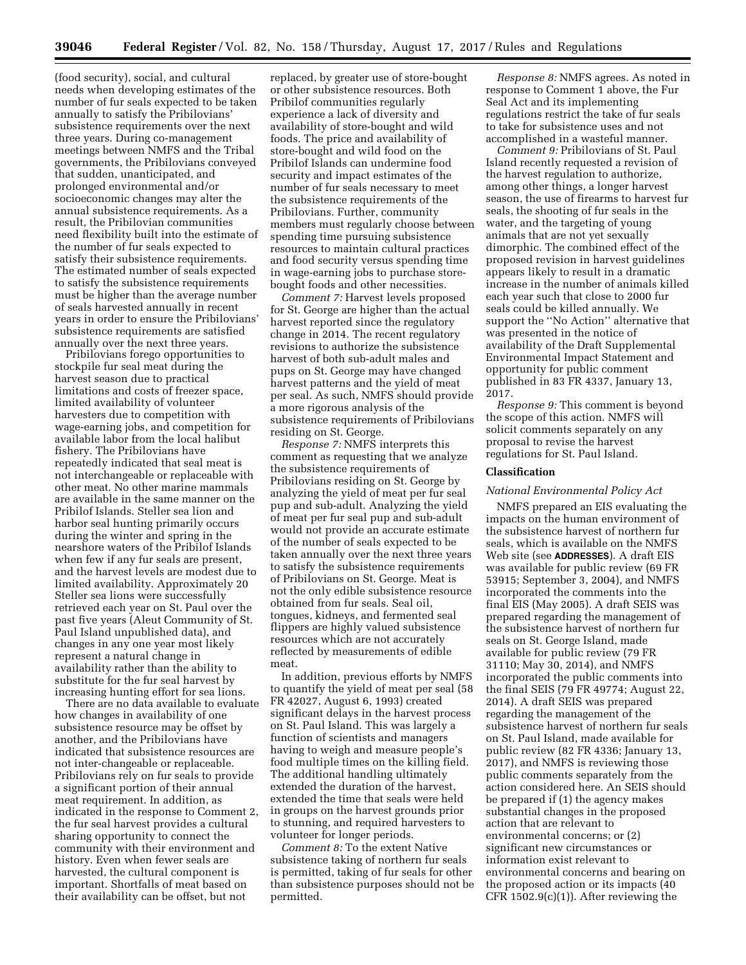(food security), social, and cultural needs when developing estimates of the number of fur seals expected to be taken annually to satisfy the Pribilovians' subsistence requirements over the next three years. During co-management meetings between NMFS and the Tribal governments, the Pribilovians conveyed that sudden, unanticipated, and prolonged environmental and/or socioeconomic changes may alter the annual subsistence requirements. As a result, the Pribilovian communities need flexibility built into the estimate of the number of fur seals expected to satisfy their subsistence requirements. The estimated number of seals expected to satisfy the subsistence requirements must be higher than the average number of seals harvested annually in recent years in order to ensure the Pribilovians' subsistence requirements are satisfied annually over the next three years.

Pribilovians forego opportunities to stockpile fur seal meat during the harvest season due to practical limitations and costs of freezer space, limited availability of volunteer harvesters due to competition with wage-earning jobs, and competition for available labor from the local halibut fishery. The Pribilovians have repeatedly indicated that seal meat is not interchangeable or replaceable with other meat. No other marine mammals are available in the same manner on the Pribilof Islands. Steller sea lion and harbor seal hunting primarily occurs during the winter and spring in the nearshore waters of the Pribilof Islands when few if any fur seals are present, and the harvest levels are modest due to limited availability. Approximately 20 Steller sea lions were successfully retrieved each year on St. Paul over the past five years (Aleut Community of St. Paul Island unpublished data), and changes in any one year most likely represent a natural change in availability rather than the ability to substitute for the fur seal harvest by increasing hunting effort for sea lions.

There are no data available to evaluate how changes in availability of one subsistence resource may be offset by another, and the Pribilovians have indicated that subsistence resources are not inter-changeable or replaceable. Pribilovians rely on fur seals to provide a significant portion of their annual meat requirement. In addition, as indicated in the response to Comment 2, the fur seal harvest provides a cultural sharing opportunity to connect the community with their environment and history. Even when fewer seals are harvested, the cultural component is important. Shortfalls of meat based on their availability can be offset, but not

replaced, by greater use of store-bought or other subsistence resources. Both Pribilof communities regularly experience a lack of diversity and availability of store-bought and wild foods. The price and availability of store-bought and wild food on the Pribilof Islands can undermine food security and impact estimates of the number of fur seals necessary to meet the subsistence requirements of the Pribilovians. Further, community members must regularly choose between spending time pursuing subsistence resources to maintain cultural practices and food security versus spending time in wage-earning jobs to purchase storebought foods and other necessities.

*Comment 7:* Harvest levels proposed for St. George are higher than the actual harvest reported since the regulatory change in 2014. The recent regulatory revisions to authorize the subsistence harvest of both sub-adult males and pups on St. George may have changed harvest patterns and the yield of meat per seal. As such, NMFS should provide a more rigorous analysis of the subsistence requirements of Pribilovians residing on St. George.

*Response 7:* NMFS interprets this comment as requesting that we analyze the subsistence requirements of Pribilovians residing on St. George by analyzing the yield of meat per fur seal pup and sub-adult. Analyzing the yield of meat per fur seal pup and sub-adult would not provide an accurate estimate of the number of seals expected to be taken annually over the next three years to satisfy the subsistence requirements of Pribilovians on St. George. Meat is not the only edible subsistence resource obtained from fur seals. Seal oil, tongues, kidneys, and fermented seal flippers are highly valued subsistence resources which are not accurately reflected by measurements of edible meat.

In addition, previous efforts by NMFS to quantify the yield of meat per seal (58 FR 42027, August 6, 1993) created significant delays in the harvest process on St. Paul Island. This was largely a function of scientists and managers having to weigh and measure people's food multiple times on the killing field. The additional handling ultimately extended the duration of the harvest, extended the time that seals were held in groups on the harvest grounds prior to stunning, and required harvesters to volunteer for longer periods.

*Comment 8:* To the extent Native subsistence taking of northern fur seals is permitted, taking of fur seals for other than subsistence purposes should not be permitted.

*Response 8:* NMFS agrees. As noted in response to Comment 1 above, the Fur Seal Act and its implementing regulations restrict the take of fur seals to take for subsistence uses and not accomplished in a wasteful manner.

*Comment 9:* Pribilovians of St. Paul Island recently requested a revision of the harvest regulation to authorize, among other things, a longer harvest season, the use of firearms to harvest fur seals, the shooting of fur seals in the water, and the targeting of young animals that are not yet sexually dimorphic. The combined effect of the proposed revision in harvest guidelines appears likely to result in a dramatic increase in the number of animals killed each year such that close to 2000 fur seals could be killed annually. We support the ''No Action'' alternative that was presented in the notice of availability of the Draft Supplemental Environmental Impact Statement and opportunity for public comment published in 83 FR 4337, January 13, 2017.

*Response 9:* This comment is beyond the scope of this action. NMFS will solicit comments separately on any proposal to revise the harvest regulations for St. Paul Island.

### **Classification**

#### *National Environmental Policy Act*

NMFS prepared an EIS evaluating the impacts on the human environment of the subsistence harvest of northern fur seals, which is available on the NMFS Web site (see **ADDRESSES**). A draft EIS was available for public review (69 FR 53915; September 3, 2004), and NMFS incorporated the comments into the final EIS (May 2005). A draft SEIS was prepared regarding the management of the subsistence harvest of northern fur seals on St. George Island, made available for public review (79 FR 31110; May 30, 2014), and NMFS incorporated the public comments into the final SEIS (79 FR 49774; August 22, 2014). A draft SEIS was prepared regarding the management of the subsistence harvest of northern fur seals on St. Paul Island, made available for public review (82 FR 4336; January 13, 2017), and NMFS is reviewing those public comments separately from the action considered here. An SEIS should be prepared if (1) the agency makes substantial changes in the proposed action that are relevant to environmental concerns; or (2) significant new circumstances or information exist relevant to environmental concerns and bearing on the proposed action or its impacts (40  $CFR 1502.9(c)(1)$ . After reviewing the